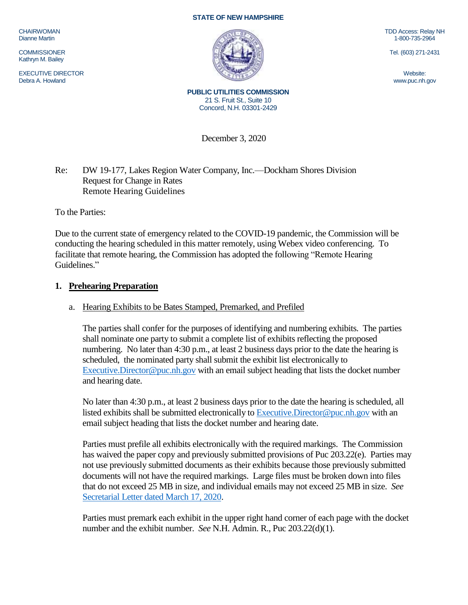CHAIRWOMAN Dianne Martin

**COMMISSIONER** Kathryn M. Bailey

EXECUTIVE DIRECTOR Debra A. Howland

#### **STATE OF NEW HAMPSHIRE**



TDD Access: Relay NH 1-800-735-2964

Tel. (603) 271-2431

Website: www.puc.nh.gov

**PUBLIC UTILITIES COMMISSION** 21 S. Fruit St., Suite 10 Concord, N.H. 03301-2429

December 3, 2020

### Re: DW 19-177, Lakes Region Water Company, Inc.—Dockham Shores Division Request for Change in Rates Remote Hearing Guidelines

To the Parties:

Due to the current state of emergency related to the COVID-19 pandemic, the Commission will be conducting the hearing scheduled in this matter remotely, using Webex video conferencing. To facilitate that remote hearing, the Commission has adopted the following "Remote Hearing Guidelines."

#### **1. Prehearing Preparation**

## a. Hearing Exhibits to be Bates Stamped, Premarked, and Prefiled

The parties shall confer for the purposes of identifying and numbering exhibits. The parties shall nominate one party to submit a complete list of exhibits reflecting the proposed numbering. No later than 4:30 p.m., at least 2 business days prior to the date the hearing is scheduled, the nominated party shall submit the exhibit list electronically to [Executive.Director@puc.nh.gov](mailto:Executive.Director@puc.nh.gov) with an email subject heading that lists the docket number and hearing date.

No later than 4:30 p.m., at least 2 business days prior to the date the hearing is scheduled, all listed exhibits shall be submitted electronically t[o Executive.Director@puc.nh.gov](mailto:Executive.Director@puc.nh.gov) with an email subject heading that lists the docket number and hearing date.

Parties must prefile all exhibits electronically with the required markings. The Commission has waived the paper copy and previously submitted provisions of Puc 203.22(e). Parties may not use previously submitted documents as their exhibits because those previously submitted documents will not have the required markings. Large files must be broken down into files that do not exceed 25 MB in size, and individual emails may not exceed 25 MB in size. *See*  [Secretarial Letter dated March 17, 2020.](https://www.puc.nh.gov/Regulatory/Secretarial%20Letters/20200317-SecLtr-Temp-Changes-in-Filing-Requirements.pdf)

Parties must premark each exhibit in the upper right hand corner of each page with the docket number and the exhibit number. *See* N.H. Admin. R., Puc 203.22(d)(1).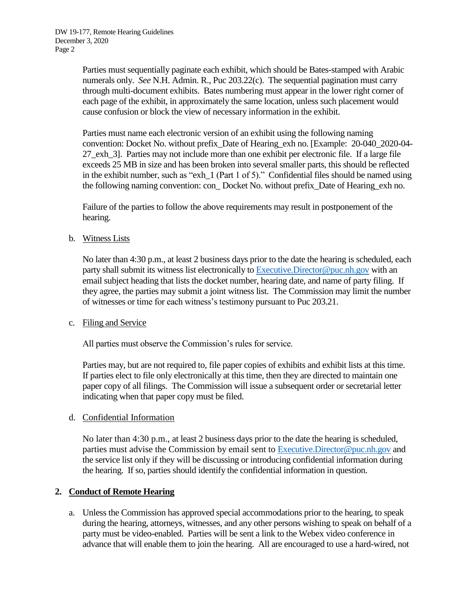Parties must sequentially paginate each exhibit, which should be Bates-stamped with Arabic numerals only. *See* N.H. Admin. R., Puc 203.22(c). The sequential pagination must carry through multi-document exhibits. Bates numbering must appear in the lower right corner of each page of the exhibit, in approximately the same location, unless such placement would cause confusion or block the view of necessary information in the exhibit.

Parties must name each electronic version of an exhibit using the following naming convention: Docket No. without prefix\_Date of Hearing\_exh no. [Example: 20-040\_2020-04- 27\_exh\_3]. Parties may not include more than one exhibit per electronic file. If a large file exceeds 25 MB in size and has been broken into several smaller parts, this should be reflected in the exhibit number, such as "exh  $1$  (Part 1 of 5)." Confidential files should be named using the following naming convention: con\_ Docket No. without prefix\_Date of Hearing\_exh no.

Failure of the parties to follow the above requirements may result in postponement of the hearing.

b. Witness Lists

No later than 4:30 p.m., at least 2 business days prior to the date the hearing is scheduled, each party shall submit its witness list electronically to [Executive.Director@puc.nh.gov](mailto:Executive.Director@puc.nh.gov) with an email subject heading that lists the docket number, hearing date, and name of party filing. If they agree, the parties may submit a joint witness list. The Commission may limit the number of witnesses or time for each witness's testimony pursuant to Puc 203.21.

#### c. Filing and Service

All parties must observe the Commission's rules for service.

Parties may, but are not required to, file paper copies of exhibits and exhibit lists at this time. If parties elect to file only electronically at this time, then they are directed to maintain one paper copy of all filings. The Commission will issue a subsequent order or secretarial letter indicating when that paper copy must be filed.

#### d. Confidential Information

No later than 4:30 p.m., at least 2 business days prior to the date the hearing is scheduled, parties must advise the Commission by email sent to [Executive.Director@puc.nh.gov](mailto:Executive.Director@puc.nh.gov) and the service list only if they will be discussing or introducing confidential information during the hearing. If so, parties should identify the confidential information in question.

# **2. Conduct of Remote Hearing**

a. Unless the Commission has approved special accommodations prior to the hearing, to speak during the hearing, attorneys, witnesses, and any other persons wishing to speak on behalf of a party must be video-enabled. Parties will be sent a link to the Webex video conference in advance that will enable them to join the hearing. All are encouraged to use a hard-wired, not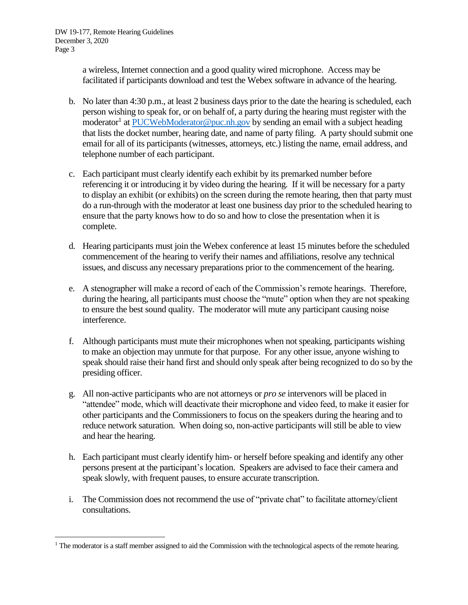$\overline{a}$ 

a wireless, Internet connection and a good quality wired microphone. Access may be facilitated if participants download and test the Webex software in advance of the hearing.

- b. No later than 4:30 p.m., at least 2 business days prior to the date the hearing is scheduled, each person wishing to speak for, or on behalf of, a party during the hearing must register with the moderator<sup>1</sup> a[t PUCWebModerator@puc.nh.gov](mailto:PUCWebModerator@puc.nh.gov) by sending an email with a subject heading that lists the docket number, hearing date, and name of party filing. A party should submit one email for all of its participants (witnesses, attorneys, etc.) listing the name, email address, and telephone number of each participant.
- c. Each participant must clearly identify each exhibit by its premarked number before referencing it or introducing it by video during the hearing. If it will be necessary for a party to display an exhibit (or exhibits) on the screen during the remote hearing, then that party must do a run-through with the moderator at least one business day prior to the scheduled hearing to ensure that the party knows how to do so and how to close the presentation when it is complete.
- d. Hearing participants must join the Webex conference at least 15 minutes before the scheduled commencement of the hearing to verify their names and affiliations, resolve any technical issues, and discuss any necessary preparations prior to the commencement of the hearing.
- e. A stenographer will make a record of each of the Commission's remote hearings. Therefore, during the hearing, all participants must choose the "mute" option when they are not speaking to ensure the best sound quality. The moderator will mute any participant causing noise interference.
- f. Although participants must mute their microphones when not speaking, participants wishing to make an objection may unmute for that purpose. For any other issue, anyone wishing to speak should raise their hand first and should only speak after being recognized to do so by the presiding officer.
- g. All non-active participants who are not attorneys or *pro se* intervenors will be placed in "attendee" mode, which will deactivate their microphone and video feed, to make it easier for other participants and the Commissioners to focus on the speakers during the hearing and to reduce network saturation. When doing so, non-active participants will still be able to view and hear the hearing.
- h. Each participant must clearly identify him- or herself before speaking and identify any other persons present at the participant's location. Speakers are advised to face their camera and speak slowly, with frequent pauses, to ensure accurate transcription.
- i. The Commission does not recommend the use of "private chat" to facilitate attorney/client consultations.

 $<sup>1</sup>$  The moderator is a staff member assigned to aid the Commission with the technological aspects of the remote hearing.</sup>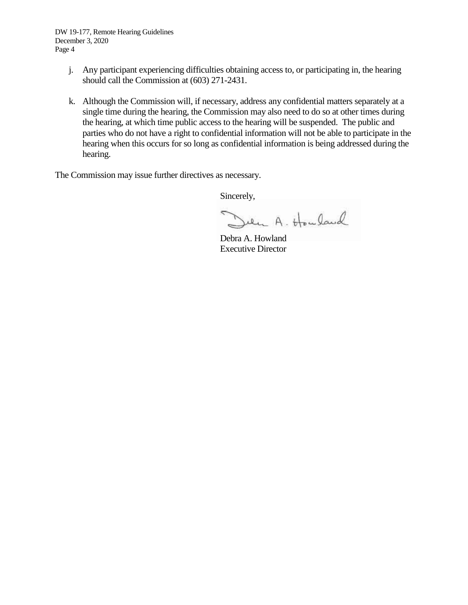DW 19-177, Remote Hearing Guidelines December 3, 2020 Page 4

- j. Any participant experiencing difficulties obtaining access to, or participating in, the hearing should call the Commission at (603) 271-2431.
- k. Although the Commission will, if necessary, address any confidential matters separately at a single time during the hearing, the Commission may also need to do so at other times during the hearing, at which time public access to the hearing will be suspended. The public and parties who do not have a right to confidential information will not be able to participate in the hearing when this occurs for so long as confidential information is being addressed during the hearing.

The Commission may issue further directives as necessary.

Sincerely,

Den A. Howland

Debra A. Howland Executive Director